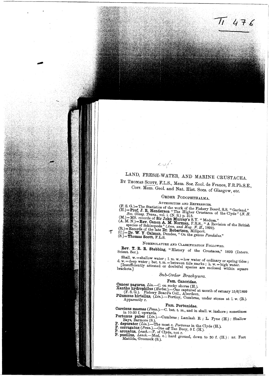# LAND, FRESH-WATER, AND MARINE CRUSTACEA.

 $476$ 

BY THOMAS SCOTT, F.L.S., Mem. Soc. Zool. de France, F.R.Ph.S.E., Corr. Mem. Geol. and Nat. Hist. Socs. of Glasgow, etc.

### ORDER PODOPHTHALMA.

AUTHORITIES AND REFERENCES.

(F. S. G.)=The Statistics of the work of the Fishery Board, S.S. "Garland."

(F. S. G.)= The Statistics of the work of the Fishery Board, S.S. "Garland."<br>
(H.)= **Prof. J. R. Henderson** "The Higher Crustacea of the Clyde" (N. H.<br>  $Soc. Glasg. Trans., vol. i. (N.S.) p. 315.$ <br>
(M.)= MS. records of **Sir John Murray's**

بمحميص

 $=$ **Dr. W. Y. Calman**, Dundee, "On the genus *Pandalus.*"  $(S.)$  = Thomas Scott, F.L.S.

## NOMENCLATURE AND CLASSIFICATION FOLLOWED.

Rev. T. R. R. Stebbing, "History of the Crustacea," 1893 (Intern.<br>Scient. Ser.).

Shall. w. = shallow water; l. m. w. = low water of ordinary or spring tides; d.  $w = \text{deep water}$ ; bet. t. m. = between tide marks; h. w. = high water.<br>[Insufficiently attested or doubtful species are enclosed within square brackets.]

Sub-Order Brachyura.

## Fam. Cancridae.

Cancer pagurus, Lin.-C. on rocky shores (H.).<br>
Xantho hydrophilus (*Herbst.*).--One captured at mouth of estuary 15/6/1899<br>
(F. S. G.). Fishery Board's Coll., Aberdeen.<br> **Pilumnus hirtellus**, (*Lin.*).--Portloy, Cumbrae,

÷

#### Fam. Portunidae.

Carcinus maenas (Penn.).-C. bet. t. m., and in shall. w. inshore; sometimes in 10-20 f. upwards.

Portunus puber (Lin.).-Cumbrae; Lamlash B.; L. Fyne (H.): Shallow Fortunus pluer (*Lin.*).—Cumbrae; Lamlash B.; L. Fyne (H.): Shallow<br>Bays, Barmore (S.).<br>P. depurator (*Lin.*).—The most c. *Portunus* in the Clyde (H.).<br>P. corrugatus (*Penn.*).—One off Tan Buoy, 8 f. (H.).<br>P. arcuatus,

- 
-